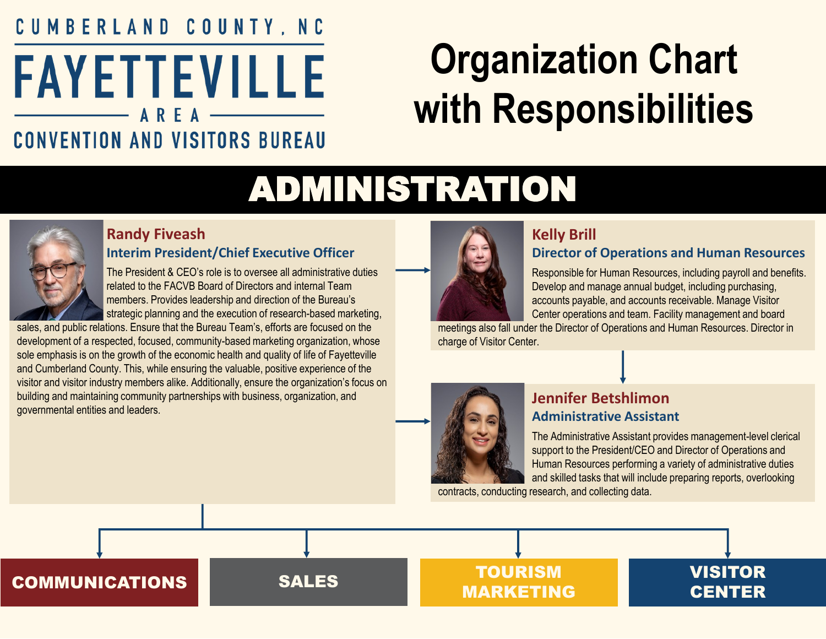## <span id="page-0-0"></span>CUMBERLAND COUNTY, NC **FAYETTEVILLE CONVENTION AND VISITORS BUREAU**

# **Organization Chart with Responsibilities**

## ADMINISTRATION



#### **Randy Fiveash Interim President/Chief Executive Officer**

The President & CEO's role is to oversee all administrative duties related to the FACVB Board of Directors and internal Team members. Provides leadership and direction of the Bureau's strategic planning and the execution of research-based marketing,

sales, and public relations. Ensure that the Bureau Team's, efforts are focused on the development of a respected, focused, community-based marketing organization, whose sole emphasis is on the growth of the economic health and quality of life of Fayetteville and Cumberland County. This, while ensuring the valuable, positive experience of the visitor and visitor industry members alike. Additionally, ensure the organization's focus on building and maintaining community partnerships with business, organization, and governmental entities and leaders.



#### **Kelly Brill**

#### **Director of Operations and Human Resources**

Responsible for Human Resources, including payroll and benefits. Develop and manage annual budget, including purchasing, accounts payable, and accounts receivable. Manage Visitor Center operations and team. Facility management and board

meetings also fall under the Director of Operations and Human Resources. Director in charge of Visitor Center.



#### **Jennifer Betshlimon Administrative Assistant**

The Administrative Assistant provides management-level clerical support to the President/CEO and Director of Operations and Human Resources performing a variety of administrative duties and skilled tasks that will include preparing reports, overlooking

contracts, conducting research, and collecting data.

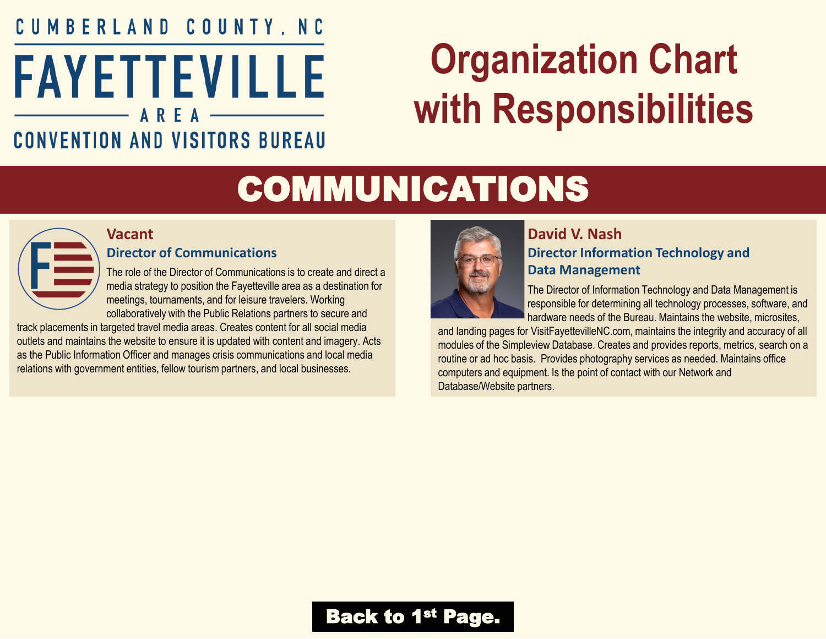### <span id="page-1-0"></span>CUMBERLAND COUNTY, NC **FAYETTEVILLE** AREA **CONVENTION AND VISITORS BUREAU**

# **Organization Chart with Responsibilities**

## COMMUNICATIONS



#### **Director of Communications**

**Vacant**

The role of the Director of Communications is to create and direct a media strategy to position the Fayetteville area as a destination for meetings, tournaments, and for leisure travelers. Working collaboratively with the Public Relations partners to secure and

track placements in targeted travel media areas. Creates content for all social media outlets and maintains the website to ensure it is updated with content and imagery. Acts as the Public Information Officer and manages crisis communications and local media relations with government entities, fellow tourism partners, and local businesses.



#### **David V. Nash Director Information Technology and Data Management**

The Director of Information Technology and Data Management is responsible for determining all technology processes, software, and hardware needs of the Bureau. Maintains the website, microsites,

and landing pages for VisitFayettevilleNC.com, maintains the integrity and accuracy of all modules of the Simpleview Database. Creates and provides reports, metrics, search on a routine or ad hoc basis. Provides photography services as needed. Maintains office computers and equipment. Is the point of contact with our Network and Database/Website partners.

### **[Back to 1](#page-0-0)st Page.**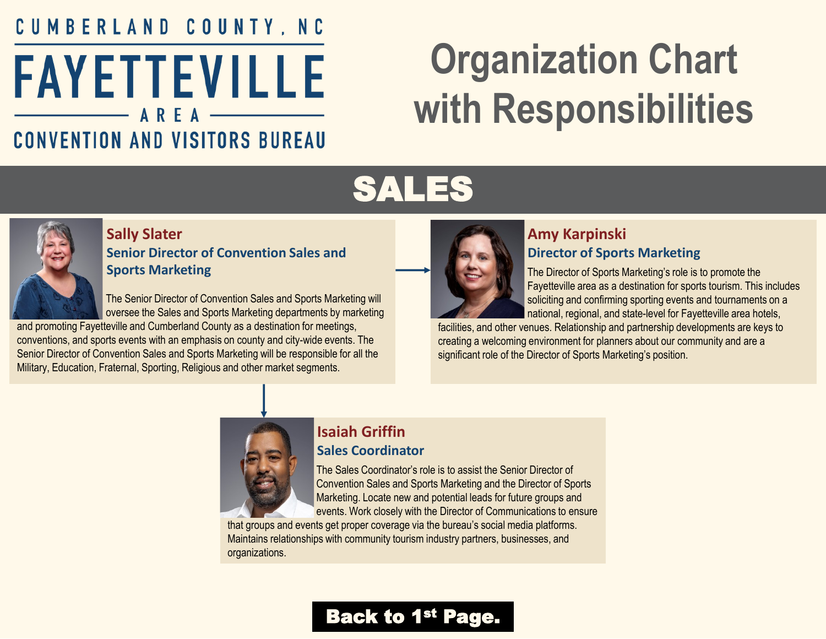## <span id="page-2-0"></span>CUMBERLAND COUNTY, NC **FAYETTEVILLE CONVENTION AND VISITORS BUREAU**

# **Organization Chart with Responsibilities**

## SALES



#### **Sally Slater Senior Director of Convention Sales and Sports Marketing**

The Senior Director of Convention Sales and Sports Marketing will oversee the Sales and Sports Marketing departments by marketing

and promoting Fayetteville and Cumberland County as a destination for meetings, conventions, and sports events with an emphasis on county and city-wide events. The Senior Director of Convention Sales and Sports Marketing will be responsible for all the Military, Education, Fraternal, Sporting, Religious and other market segments.



#### **Amy Karpinski Director of Sports Marketing**

The Director of Sports Marketing's role is to promote the Fayetteville area as a destination for sports tourism. This includes soliciting and confirming sporting events and tournaments on a national, regional, and state-level for Fayetteville area hotels,

facilities, and other venues. Relationship and partnership developments are keys to creating a welcoming environment for planners about our community and are a significant role of the Director of Sports Marketing's position.



#### **Isaiah Griffin Sales Coordinator**

The Sales Coordinator's role is to assist the Senior Director of Convention Sales and Sports Marketing and the Director of Sports Marketing. Locate new and potential leads for future groups and events. Work closely with the Director of Communications to ensure

that groups and events get proper coverage via the bureau's social media platforms. Maintains relationships with community tourism industry partners, businesses, and organizations.

### [Back to 1](#page-0-0)<sup>st</sup> Page.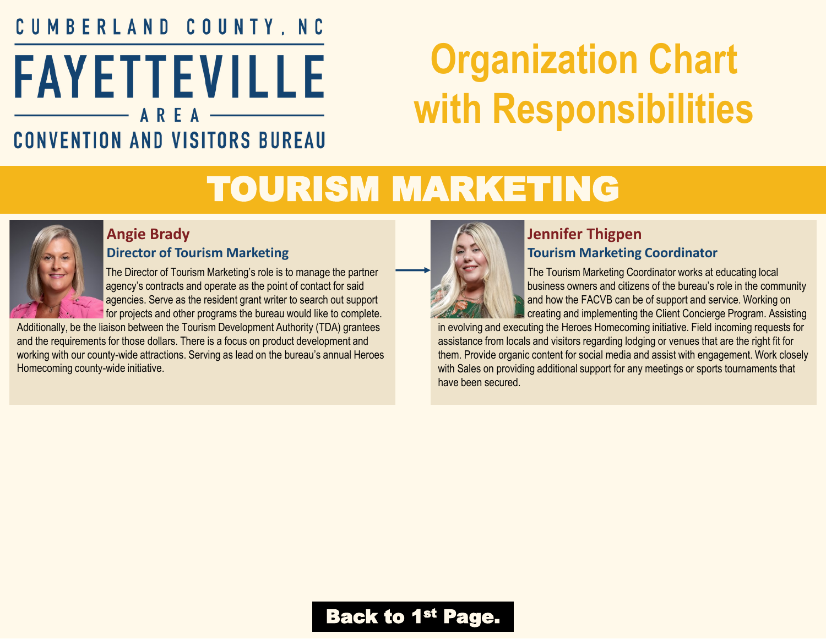### <span id="page-3-0"></span>CUMBERLAND COUNTY, NC **FAYETTEVILLE** AREA **CONVENTION AND VISITORS BUREAU**

# **Organization Chart with Responsibilities**

## TOURISM MARKETING



#### **Angie Brady Director of Tourism Marketing**

The Director of Tourism Marketing's role is to manage the partner agency's contracts and operate as the point of contact for said agencies. Serve as the resident grant writer to search out support for projects and other programs the bureau would like to complete.

Additionally, be the liaison between the Tourism Development Authority (TDA) grantees and the requirements for those dollars. There is a focus on product development and working with our county-wide attractions. Serving as lead on the bureau's annual Heroes Homecoming county-wide initiative.



#### **Jennifer Thigpen Tourism Marketing Coordinator**

The Tourism Marketing Coordinator works at educating local business owners and citizens of the bureau's role in the community and how the FACVB can be of support and service. Working on creating and implementing the Client Concierge Program. Assisting

in evolving and executing the Heroes Homecoming initiative. Field incoming requests for assistance from locals and visitors regarding lodging or venues that are the right fit for them. Provide organic content for social media and assist with engagement. Work closely with Sales on providing additional support for any meetings or sports tournaments that have been secured.

### **[Back to 1](#page-0-0)st Page.**